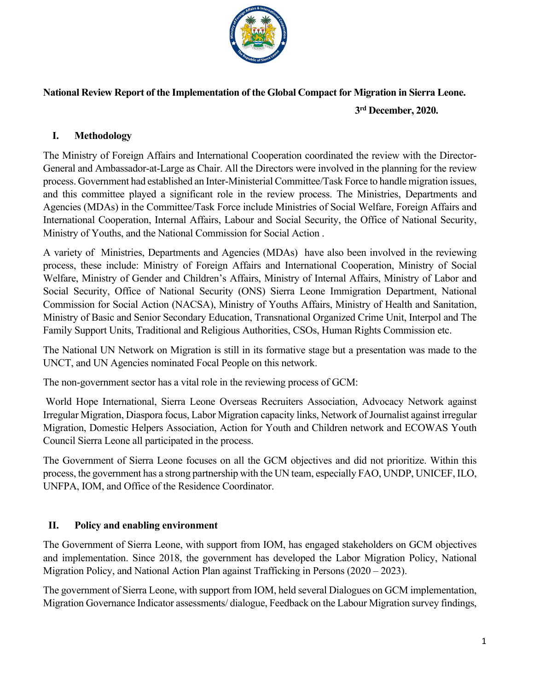

# **National Review Report of the Implementation of the Global Compact for Migration in Sierra Leone.**

 **3rd December, 2020.**

### **I. Methodology**

The Ministry of Foreign Affairs and International Cooperation coordinated the review with the Director-General and Ambassador-at-Large as Chair. All the Directors were involved in the planning for the review process. Government had established an Inter-Ministerial Committee/Task Force to handle migration issues, and this committee played a significant role in the review process. The Ministries, Departments and Agencies (MDAs) in the Committee/Task Force include Ministries of Social Welfare, Foreign Affairs and International Cooperation, Internal Affairs, Labour and Social Security, the Office of National Security, Ministry of Youths, and the National Commission for Social Action .

A variety of Ministries, Departments and Agencies (MDAs) have also been involved in the reviewing process, these include: Ministry of Foreign Affairs and International Cooperation, Ministry of Social Welfare, Ministry of Gender and Children's Affairs, Ministry of Internal Affairs, Ministry of Labor and Social Security, Office of National Security (ONS) Sierra Leone Immigration Department, National Commission for Social Action (NACSA), Ministry of Youths Affairs, Ministry of Health and Sanitation, Ministry of Basic and Senior Secondary Education, Transnational Organized Crime Unit, Interpol and The Family Support Units, Traditional and Religious Authorities, CSOs, Human Rights Commission etc.

The National UN Network on Migration is still in its formative stage but a presentation was made to the UNCT, and UN Agencies nominated Focal People on this network.

The non-government sector has a vital role in the reviewing process of GCM:

World Hope International, Sierra Leone Overseas Recruiters Association, Advocacy Network against Irregular Migration, Diaspora focus, Labor Migration capacity links, Network of Journalist against irregular Migration, Domestic Helpers Association, Action for Youth and Children network and ECOWAS Youth Council Sierra Leone all participated in the process.

The Government of Sierra Leone focuses on all the GCM objectives and did not prioritize. Within this process, the government has a strong partnership with the UN team, especially FAO, UNDP, UNICEF, ILO, UNFPA, IOM, and Office of the Residence Coordinator.

## **II. Policy and enabling environment**

The Government of Sierra Leone, with support from IOM, has engaged stakeholders on GCM objectives and implementation. Since 2018, the government has developed the Labor Migration Policy, National Migration Policy, and National Action Plan against Trafficking in Persons (2020 – 2023).

The government of Sierra Leone, with support from IOM, held several Dialogues on GCM implementation, Migration Governance Indicator assessments/ dialogue, Feedback on the Labour Migration survey findings,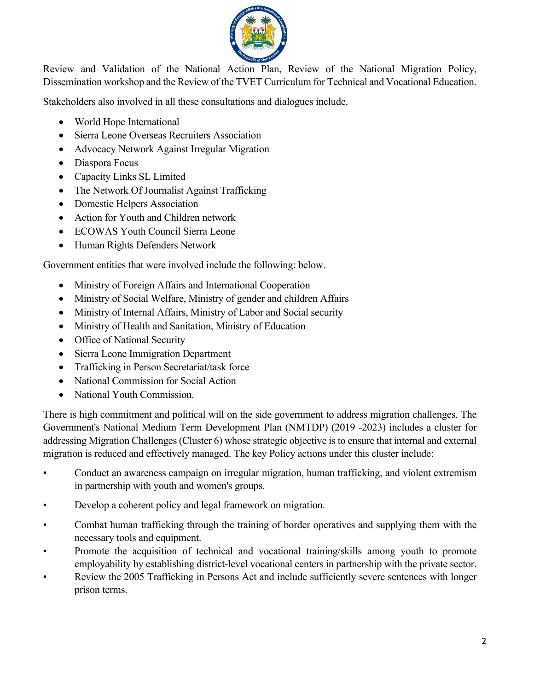

Review and Validation of the National Action Plan, Review of the National Migration Policy, Dissemination workshop and the Review of the TVET Curriculum for Technical and Vocational Education.

Stakeholders also involved in all these consultations and dialogues include.

- World Hope International
- Sierra Leone Overseas Recruiters Association
- Advocacy Network Against Irregular Migration
- Diaspora Focus
- Capacity Links SL Limited
- The Network Of Journalist Against Trafficking
- Domestic Helpers Association
- Action for Youth and Children network
- ECOWAS Youth Council Sierra Leone
- Human Rights Defenders Network

Government entities that were involved include the following: below.

- Ministry of Foreign Affairs and International Cooperation
- Ministry of Social Welfare, Ministry of gender and children Affairs
- Ministry of Internal Affairs, Ministry of Labor and Social security
- Ministry of Health and Sanitation, Ministry of Education
- Office of National Security
- Sierra Leone Immigration Department
- Trafficking in Person Secretariat/task force
- National Commission for Social Action
- National Youth Commission.

There is high commitment and political will on the side government to address migration challenges. The Government's National Medium Term Development Plan (NMTDP) (2019 -2023) includes a cluster for addressing Migration Challenges (Cluster 6) whose strategic objective is to ensure that internal and external migration is reduced and effectively managed. The key Policy actions under this cluster include:

- Conduct an awareness campaign on irregular migration, human trafficking, and violent extremism in partnership with youth and women's groups.
- Develop a coherent policy and legal framework on migration.
- Combat human trafficking through the training of border operatives and supplying them with the necessary tools and equipment.
- Promote the acquisition of technical and vocational training/skills among youth to promote employability by establishing district-level vocational centers in partnership with the private sector.
- Review the 2005 Trafficking in Persons Act and include sufficiently severe sentences with longer prison terms.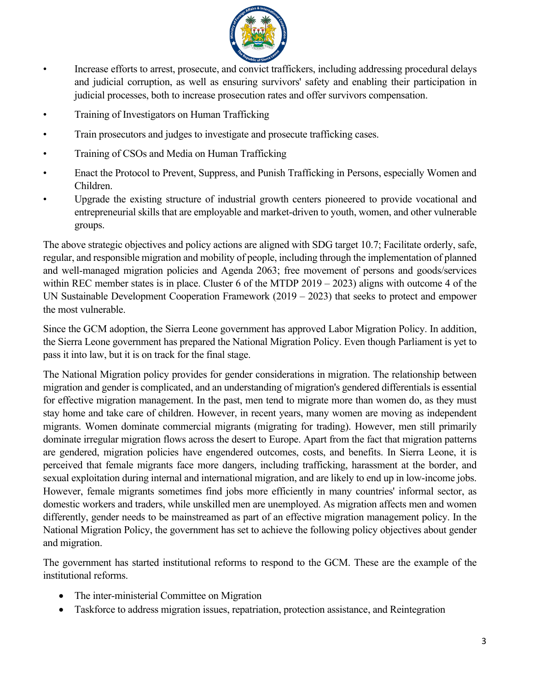

- Increase efforts to arrest, prosecute, and convict traffickers, including addressing procedural delays and judicial corruption, as well as ensuring survivors' safety and enabling their participation in judicial processes, both to increase prosecution rates and offer survivors compensation.
- Training of Investigators on Human Trafficking
- Train prosecutors and judges to investigate and prosecute trafficking cases.
- Training of CSOs and Media on Human Trafficking
- Enact the Protocol to Prevent, Suppress, and Punish Trafficking in Persons, especially Women and Children.
- Upgrade the existing structure of industrial growth centers pioneered to provide vocational and entrepreneurial skills that are employable and market-driven to youth, women, and other vulnerable groups.

The above strategic objectives and policy actions are aligned with SDG target 10.7; Facilitate orderly, safe, regular, and responsible migration and mobility of people, including through the implementation of planned and well-managed migration policies and Agenda 2063; free movement of persons and goods/services within REC member states is in place. Cluster 6 of the MTDP 2019 – 2023) aligns with outcome 4 of the UN Sustainable Development Cooperation Framework (2019 – 2023) that seeks to protect and empower the most vulnerable.

Since the GCM adoption, the Sierra Leone government has approved Labor Migration Policy. In addition, the Sierra Leone government has prepared the National Migration Policy. Even though Parliament is yet to pass it into law, but it is on track for the final stage.

The National Migration policy provides for gender considerations in migration. The relationship between migration and gender is complicated, and an understanding of migration's gendered differentials is essential for effective migration management. In the past, men tend to migrate more than women do, as they must stay home and take care of children. However, in recent years, many women are moving as independent migrants. Women dominate commercial migrants (migrating for trading). However, men still primarily dominate irregular migration flows across the desert to Europe. Apart from the fact that migration patterns are gendered, migration policies have engendered outcomes, costs, and benefits. In Sierra Leone, it is perceived that female migrants face more dangers, including trafficking, harassment at the border, and sexual exploitation during internal and international migration, and are likely to end up in low-income jobs. However, female migrants sometimes find jobs more efficiently in many countries' informal sector, as domestic workers and traders, while unskilled men are unemployed. As migration affects men and women differently, gender needs to be mainstreamed as part of an effective migration management policy. In the National Migration Policy, the government has set to achieve the following policy objectives about gender and migration.

The government has started institutional reforms to respond to the GCM. These are the example of the institutional reforms.

- The inter-ministerial Committee on Migration
- Taskforce to address migration issues, repatriation, protection assistance, and Reintegration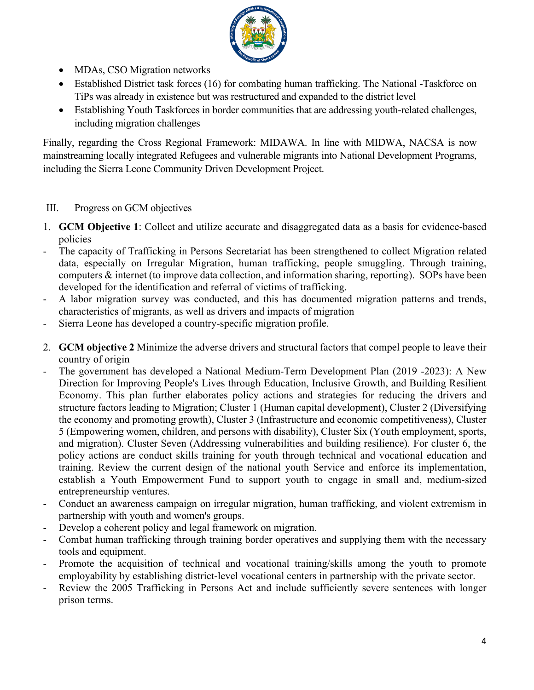

- MDAs, CSO Migration networks
- Established District task forces (16) for combating human trafficking. The National -Taskforce on TiPs was already in existence but was restructured and expanded to the district level
- Establishing Youth Taskforces in border communities that are addressing youth-related challenges, including migration challenges

Finally, regarding the Cross Regional Framework: MIDAWA. In line with MIDWA, NACSA is now mainstreaming locally integrated Refugees and vulnerable migrants into National Development Programs, including the Sierra Leone Community Driven Development Project.

## III. Progress on GCM objectives

- 1. **GCM Objective 1**: Collect and utilize accurate and disaggregated data as a basis for evidence-based policies
- The capacity of Trafficking in Persons Secretariat has been strengthened to collect Migration related data, especially on Irregular Migration, human trafficking, people smuggling. Through training, computers & internet (to improve data collection, and information sharing, reporting). SOPs have been developed for the identification and referral of victims of trafficking.
- A labor migration survey was conducted, and this has documented migration patterns and trends, characteristics of migrants, as well as drivers and impacts of migration
- Sierra Leone has developed a country-specific migration profile.
- 2. **GCM objective 2** Minimize the adverse drivers and structural factors that compel people to leave their country of origin
- The government has developed a National Medium-Term Development Plan (2019 -2023): A New Direction for Improving People's Lives through Education, Inclusive Growth, and Building Resilient Economy. This plan further elaborates policy actions and strategies for reducing the drivers and structure factors leading to Migration; Cluster 1 (Human capital development), Cluster 2 (Diversifying the economy and promoting growth), Cluster 3 (Infrastructure and economic competitiveness), Cluster 5 (Empowering women, children, and persons with disability), Cluster Six (Youth employment, sports, and migration). Cluster Seven (Addressing vulnerabilities and building resilience). For cluster 6, the policy actions are conduct skills training for youth through technical and vocational education and training. Review the current design of the national youth Service and enforce its implementation, establish a Youth Empowerment Fund to support youth to engage in small and, medium-sized entrepreneurship ventures.
- Conduct an awareness campaign on irregular migration, human trafficking, and violent extremism in partnership with youth and women's groups.
- Develop a coherent policy and legal framework on migration.
- Combat human trafficking through training border operatives and supplying them with the necessary tools and equipment.
- Promote the acquisition of technical and vocational training/skills among the youth to promote employability by establishing district-level vocational centers in partnership with the private sector.
- Review the 2005 Trafficking in Persons Act and include sufficiently severe sentences with longer prison terms.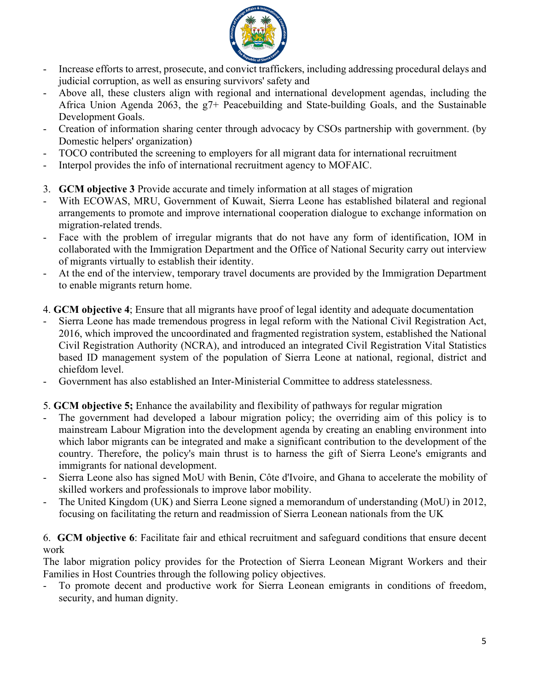

- Increase efforts to arrest, prosecute, and convict traffickers, including addressing procedural delays and judicial corruption, as well as ensuring survivors' safety and
- Above all, these clusters align with regional and international development agendas, including the Africa Union Agenda 2063, the g7+ Peacebuilding and State-building Goals, and the Sustainable Development Goals.
- Creation of information sharing center through advocacy by CSOs partnership with government. (by Domestic helpers' organization)
- TOCO contributed the screening to employers for all migrant data for international recruitment
- Interpol provides the info of international recruitment agency to MOFAIC.
- 3. **GCM objective 3** Provide accurate and timely information at all stages of migration
- With ECOWAS, MRU, Government of Kuwait, Sierra Leone has established bilateral and regional arrangements to promote and improve international cooperation dialogue to exchange information on migration-related trends.
- Face with the problem of irregular migrants that do not have any form of identification, IOM in collaborated with the Immigration Department and the Office of National Security carry out interview of migrants virtually to establish their identity.
- At the end of the interview, temporary travel documents are provided by the Immigration Department to enable migrants return home.
- 4. **GCM objective 4**; Ensure that all migrants have proof of legal identity and adequate documentation
- Sierra Leone has made tremendous progress in legal reform with the National Civil Registration Act, 2016, which improved the uncoordinated and fragmented registration system, established the National Civil Registration Authority (NCRA), and introduced an integrated Civil Registration Vital Statistics based ID management system of the population of Sierra Leone at national, regional, district and chiefdom level.
- Government has also established an Inter-Ministerial Committee to address statelessness.

## 5. **GCM objective 5;** Enhance the availability and flexibility of pathways for regular migration

- The government had developed a labour migration policy; the overriding aim of this policy is to mainstream Labour Migration into the development agenda by creating an enabling environment into which labor migrants can be integrated and make a significant contribution to the development of the country. Therefore, the policy's main thrust is to harness the gift of Sierra Leone's emigrants and immigrants for national development.
- Sierra Leone also has signed MoU with Benin, Côte d'Ivoire, and Ghana to accelerate the mobility of skilled workers and professionals to improve labor mobility.
- The United Kingdom (UK) and Sierra Leone signed a memorandum of understanding (MoU) in 2012, focusing on facilitating the return and readmission of Sierra Leonean nationals from the UK

#### 6. **GCM objective 6**: Facilitate fair and ethical recruitment and safeguard conditions that ensure decent work

The labor migration policy provides for the Protection of Sierra Leonean Migrant Workers and their Families in Host Countries through the following policy objectives.

- To promote decent and productive work for Sierra Leonean emigrants in conditions of freedom, security, and human dignity.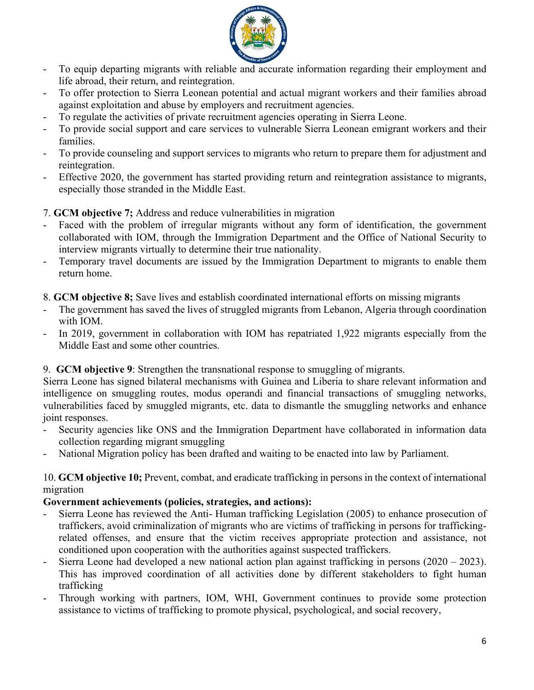

- To equip departing migrants with reliable and accurate information regarding their employment and life abroad, their return, and reintegration.
- To offer protection to Sierra Leonean potential and actual migrant workers and their families abroad against exploitation and abuse by employers and recruitment agencies.
- To regulate the activities of private recruitment agencies operating in Sierra Leone.
- To provide social support and care services to vulnerable Sierra Leonean emigrant workers and their families.
- To provide counseling and support services to migrants who return to prepare them for adjustment and reintegration.
- Effective 2020, the government has started providing return and reintegration assistance to migrants, especially those stranded in the Middle East.

# 7. **GCM objective 7;** Address and reduce vulnerabilities in migration

- Faced with the problem of irregular migrants without any form of identification, the government collaborated with IOM, through the Immigration Department and the Office of National Security to interview migrants virtually to determine their true nationality.
- Temporary travel documents are issued by the Immigration Department to migrants to enable them return home.
- 8. **GCM objective 8;** Save lives and establish coordinated international efforts on missing migrants
- The government has saved the lives of struggled migrants from Lebanon, Algeria through coordination with IOM.
- In 2019, government in collaboration with IOM has repatriated 1,922 migrants especially from the Middle East and some other countries.

## 9. **GCM objective 9**: Strengthen the transnational response to smuggling of migrants.

Sierra Leone has signed bilateral mechanisms with Guinea and Liberia to share relevant information and intelligence on smuggling routes, modus operandi and financial transactions of smuggling networks, vulnerabilities faced by smuggled migrants, etc. data to dismantle the smuggling networks and enhance joint responses.

- Security agencies like ONS and the Immigration Department have collaborated in information data collection regarding migrant smuggling
- National Migration policy has been drafted and waiting to be enacted into law by Parliament.

#### 10. **GCM objective 10;** Prevent, combat, and eradicate trafficking in persons in the context of international migration

## **Government achievements (policies, strategies, and actions):**

- Sierra Leone has reviewed the Anti- Human trafficking Legislation (2005) to enhance prosecution of traffickers, avoid criminalization of migrants who are victims of trafficking in persons for traffickingrelated offenses, and ensure that the victim receives appropriate protection and assistance, not conditioned upon cooperation with the authorities against suspected traffickers.
- Sierra Leone had developed a new national action plan against trafficking in persons (2020 2023). This has improved coordination of all activities done by different stakeholders to fight human trafficking
- Through working with partners, IOM, WHI, Government continues to provide some protection assistance to victims of trafficking to promote physical, psychological, and social recovery,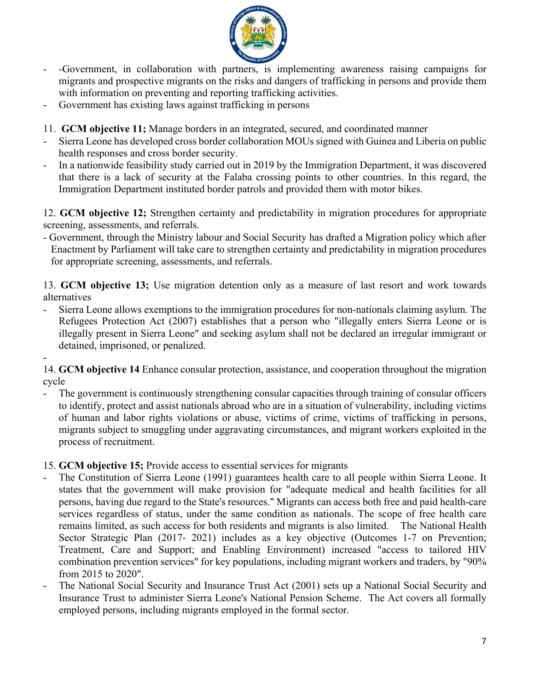

- -Government, in collaboration with partners, is implementing awareness raising campaigns for migrants and prospective migrants on the risks and dangers of trafficking in persons and provide them with information on preventing and reporting trafficking activities.
- Government has existing laws against trafficking in persons
- 11. **GCM objective 11;** Manage borders in an integrated, secured, and coordinated manner
- Sierra Leone has developed cross border collaboration MOUs signed with Guinea and Liberia on public health responses and cross border security.
- In a nationwide feasibility study carried out in 2019 by the Immigration Department, it was discovered that there is a lack of security at the Falaba crossing points to other countries. In this regard, the Immigration Department instituted border patrols and provided them with motor bikes.

12. **GCM objective 12;** Strengthen certainty and predictability in migration procedures for appropriate screening, assessments, and referrals.

- Government, through the Ministry labour and Social Security has drafted a Migration policy which after Enactment by Parliament will take care to strengthen certainty and predictability in migration procedures for appropriate screening, assessments, and referrals.

13. **GCM objective 13;** Use migration detention only as a measure of last resort and work towards alternatives

- Sierra Leone allows exemptions to the immigration procedures for non-nationals claiming asylum. The Refugees Protection Act (2007) establishes that a person who "illegally enters Sierra Leone or is illegally present in Sierra Leone" and seeking asylum shall not be declared an irregular immigrant or detained, imprisoned, or penalized.

- 14. **GCM objective 14** Enhance consular protection, assistance, and cooperation throughout the migration cycle

The government is continuously strengthening consular capacities through training of consular officers to identify, protect and assist nationals abroad who are in a situation of vulnerability, including victims of human and labor rights violations or abuse, victims of crime, victims of trafficking in persons, migrants subject to smuggling under aggravating circumstances, and migrant workers exploited in the process of recruitment.

15. **GCM objective 15;** Provide access to essential services for migrants

- The Constitution of Sierra Leone (1991) guarantees health care to all people within Sierra Leone. It states that the government will make provision for "adequate medical and health facilities for all persons, having due regard to the State's resources." Migrants can access both free and paid health-care services regardless of status, under the same condition as nationals. The scope of free health care remains limited, as such access for both residents and migrants is also limited. The National Health Sector Strategic Plan (2017- 2021) includes as a key objective (Outcomes 1-7 on Prevention; Treatment, Care and Support; and Enabling Environment) increased "access to tailored HIV combination prevention services" for key populations, including migrant workers and traders, by "90% from 2015 to 2020".
- The National Social Security and Insurance Trust Act (2001) sets up a National Social Security and Insurance Trust to administer Sierra Leone's National Pension Scheme. The Act covers all formally employed persons, including migrants employed in the formal sector.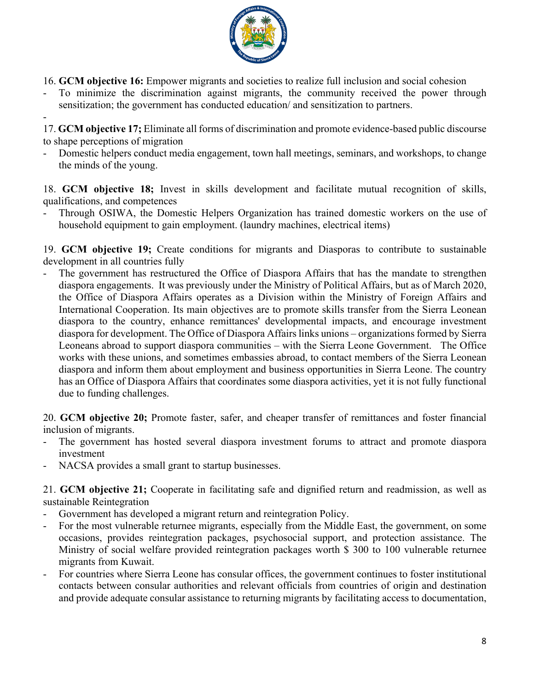

16. **GCM objective 16:** Empower migrants and societies to realize full inclusion and social cohesion

- To minimize the discrimination against migrants, the community received the power through sensitization; the government has conducted education/ and sensitization to partners.
- -

17. **GCM objective 17;** Eliminate all forms of discrimination and promote evidence-based public discourse to shape perceptions of migration

- Domestic helpers conduct media engagement, town hall meetings, seminars, and workshops, to change the minds of the young.

18. **GCM objective 18;** Invest in skills development and facilitate mutual recognition of skills, qualifications, and competences

- Through OSIWA, the Domestic Helpers Organization has trained domestic workers on the use of household equipment to gain employment. (laundry machines, electrical items)

19. **GCM objective 19;** Create conditions for migrants and Diasporas to contribute to sustainable development in all countries fully

The government has restructured the Office of Diaspora Affairs that has the mandate to strengthen diaspora engagements. It was previously under the Ministry of Political Affairs, but as of March 2020, the Office of Diaspora Affairs operates as a Division within the Ministry of Foreign Affairs and International Cooperation. Its main objectives are to promote skills transfer from the Sierra Leonean diaspora to the country, enhance remittances' developmental impacts, and encourage investment diaspora for development. The Office of Diaspora Affairs links unions – organizations formed by Sierra Leoneans abroad to support diaspora communities – with the Sierra Leone Government. The Office works with these unions, and sometimes embassies abroad, to contact members of the Sierra Leonean diaspora and inform them about employment and business opportunities in Sierra Leone. The country has an Office of Diaspora Affairs that coordinates some diaspora activities, yet it is not fully functional due to funding challenges.

20. **GCM objective 20;** Promote faster, safer, and cheaper transfer of remittances and foster financial inclusion of migrants.

- The government has hosted several diaspora investment forums to attract and promote diaspora investment
- NACSA provides a small grant to startup businesses.

21. **GCM objective 21;** Cooperate in facilitating safe and dignified return and readmission, as well as sustainable Reintegration

- Government has developed a migrant return and reintegration Policy.
- For the most vulnerable returnee migrants, especially from the Middle East, the government, on some occasions, provides reintegration packages, psychosocial support, and protection assistance. The Ministry of social welfare provided reintegration packages worth \$ 300 to 100 vulnerable returnee migrants from Kuwait.
- For countries where Sierra Leone has consular offices, the government continues to foster institutional contacts between consular authorities and relevant officials from countries of origin and destination and provide adequate consular assistance to returning migrants by facilitating access to documentation,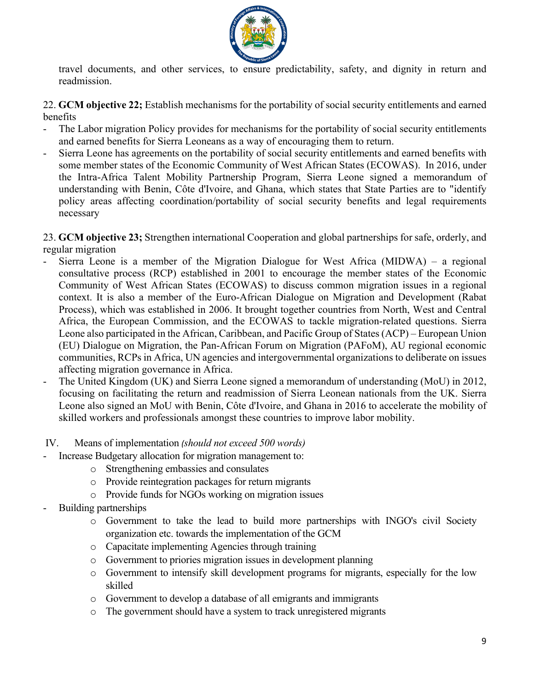

travel documents, and other services, to ensure predictability, safety, and dignity in return and readmission.

22. **GCM objective 22;** Establish mechanisms for the portability of social security entitlements and earned benefits

- The Labor migration Policy provides for mechanisms for the portability of social security entitlements and earned benefits for Sierra Leoneans as a way of encouraging them to return.
- Sierra Leone has agreements on the portability of social security entitlements and earned benefits with some member states of the Economic Community of West African States (ECOWAS). In 2016, under the Intra-Africa Talent Mobility Partnership Program, Sierra Leone signed a memorandum of understanding with Benin, Côte d'Ivoire, and Ghana, which states that State Parties are to "identify policy areas affecting coordination/portability of social security benefits and legal requirements necessary

23. **GCM objective 23;** Strengthen international Cooperation and global partnerships for safe, orderly, and regular migration

- Sierra Leone is a member of the Migration Dialogue for West Africa (MIDWA) a regional consultative process (RCP) established in 2001 to encourage the member states of the Economic Community of West African States (ECOWAS) to discuss common migration issues in a regional context. It is also a member of the Euro-African Dialogue on Migration and Development (Rabat Process), which was established in 2006. It brought together countries from North, West and Central Africa, the European Commission, and the ECOWAS to tackle migration-related questions. Sierra Leone also participated in the African, Caribbean, and Pacific Group of States (ACP) – European Union (EU) Dialogue on Migration, the Pan-African Forum on Migration (PAFoM), AU regional economic communities, RCPs in Africa, UN agencies and intergovernmental organizations to deliberate on issues affecting migration governance in Africa.
- The United Kingdom (UK) and Sierra Leone signed a memorandum of understanding (MoU) in 2012, focusing on facilitating the return and readmission of Sierra Leonean nationals from the UK. Sierra Leone also signed an MoU with Benin, Côte d'Ivoire, and Ghana in 2016 to accelerate the mobility of skilled workers and professionals amongst these countries to improve labor mobility.

## IV. Means of implementation *(should not exceed 500 words)*

- Increase Budgetary allocation for migration management to:
	- o Strengthening embassies and consulates
	- o Provide reintegration packages for return migrants
	- o Provide funds for NGOs working on migration issues
- Building partnerships
	- o Government to take the lead to build more partnerships with INGO's civil Society organization etc. towards the implementation of the GCM
	- o Capacitate implementing Agencies through training
	- o Government to priories migration issues in development planning
	- o Government to intensify skill development programs for migrants, especially for the low skilled
	- o Government to develop a database of all emigrants and immigrants
	- o The government should have a system to track unregistered migrants